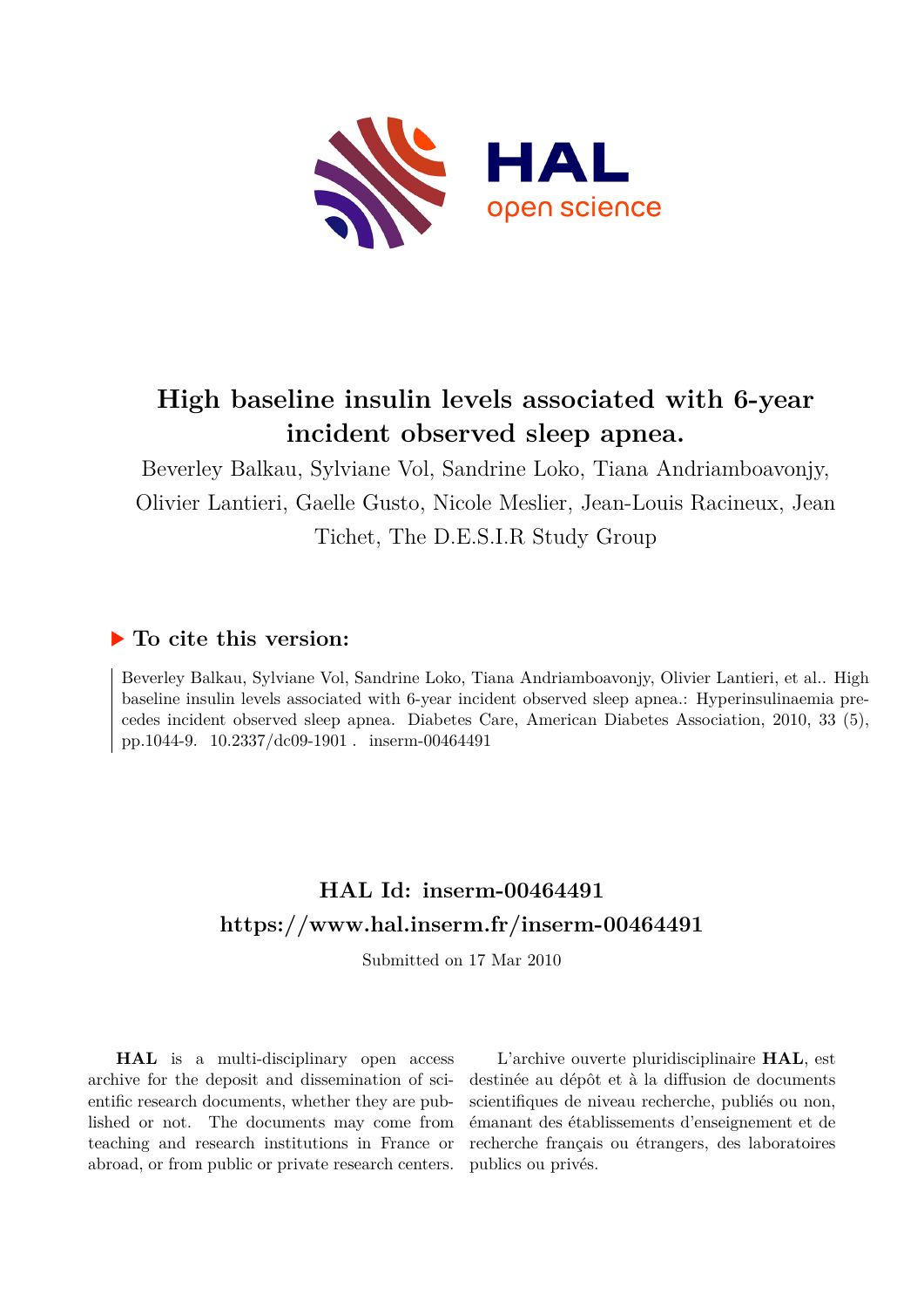

# **High baseline insulin levels associated with 6-year incident observed sleep apnea.**

Beverley Balkau, Sylviane Vol, Sandrine Loko, Tiana Andriamboavonjy, Olivier Lantieri, Gaelle Gusto, Nicole Meslier, Jean-Louis Racineux, Jean Tichet, The D.E.S.I.R Study Group

## **To cite this version:**

Beverley Balkau, Sylviane Vol, Sandrine Loko, Tiana Andriamboavonjy, Olivier Lantieri, et al.. High baseline insulin levels associated with 6-year incident observed sleep apnea.: Hyperinsulinaemia precedes incident observed sleep apnea. Diabetes Care, American Diabetes Association, 2010, 33 (5), pp.1044-9. 10.2337/dc09-1901. inserm-00464491

# **HAL Id: inserm-00464491 <https://www.hal.inserm.fr/inserm-00464491>**

Submitted on 17 Mar 2010

**HAL** is a multi-disciplinary open access archive for the deposit and dissemination of scientific research documents, whether they are published or not. The documents may come from teaching and research institutions in France or abroad, or from public or private research centers.

L'archive ouverte pluridisciplinaire **HAL**, est destinée au dépôt et à la diffusion de documents scientifiques de niveau recherche, publiés ou non, émanant des établissements d'enseignement et de recherche français ou étrangers, des laboratoires publics ou privés.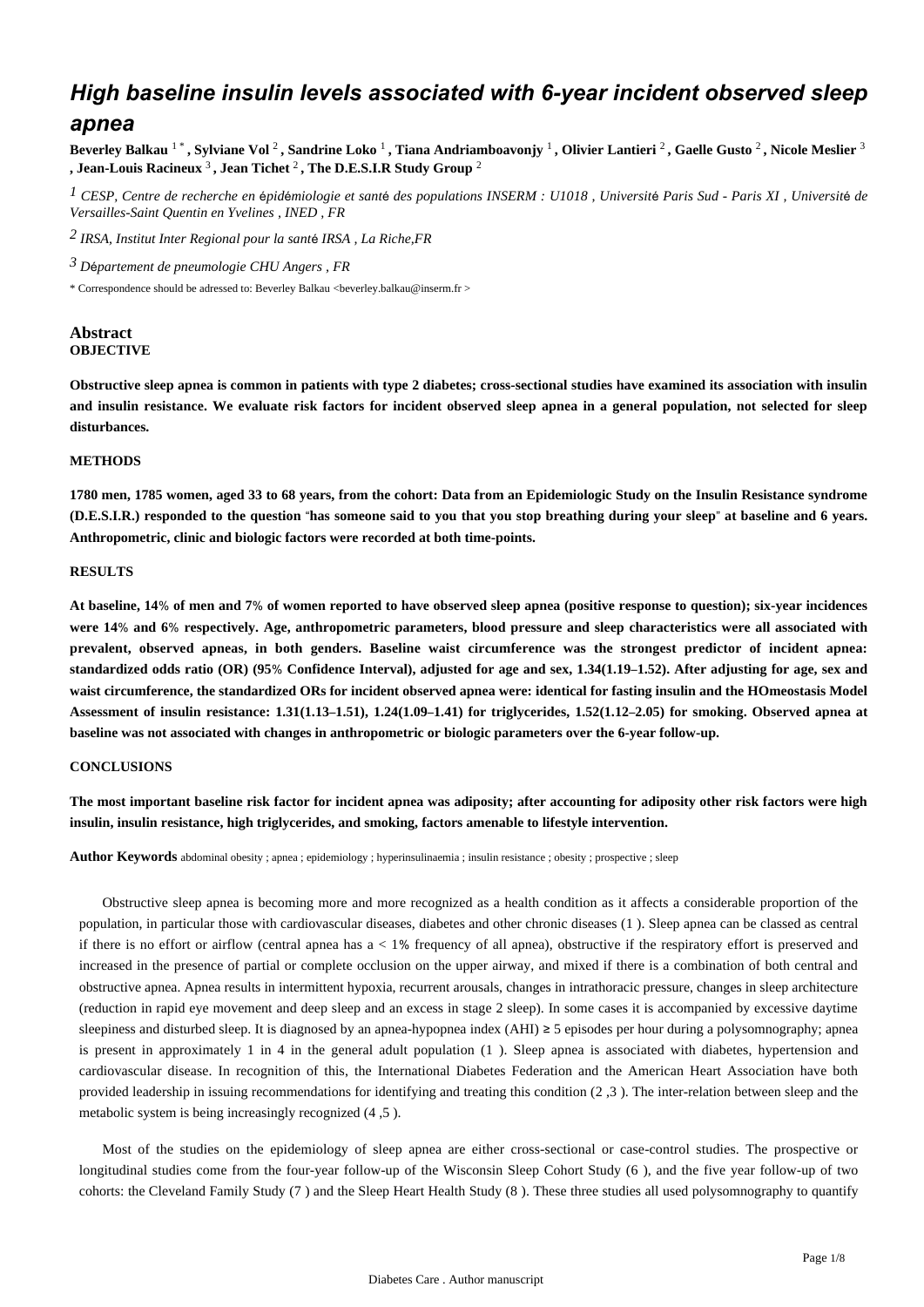# *High baseline insulin levels associated with 6-year incident observed sleep apnea*

**Beverley Balkau** 1 \* **, Sylviane Vol** <sup>2</sup> **, Sandrine Loko** <sup>1</sup> **, Tiana Andriamboavonjy** <sup>1</sup> **, Olivier Lantieri** <sup>2</sup> **, Gaelle Gusto** <sup>2</sup> **, Nicole Meslier** <sup>3</sup> **, Jean-Louis Racineux** <sup>3</sup> **, Jean Tichet** <sup>2</sup> **, The D.E.S.I.R Study Group** <sup>2</sup>

<sup>1</sup> CESP, Centre de recherche en épidémiologie et santé des populations INSERM : U1018, Université Paris Sud - Paris XI, Université de *Versailles-Saint Quentin en Yvelines , INED , FR*

<sup>2</sup> IRSA, Institut Inter Regional pour la santé IRSA, La Riche,FR

*D partement de pneumologie 3* <sup>é</sup> *CHU Angers , FR*

\* Correspondence should be adressed to: Beverley Balkau <beverley.balkau@inserm.fr >

#### **Abstract OBJECTIVE**

**Obstructive sleep apnea is common in patients with type 2 diabetes; cross-sectional studies have examined its association with insulin and insulin resistance. We evaluate risk factors for incident observed sleep apnea in a general population, not selected for sleep disturbances.**

#### **METHODS**

**1780 men, 1785 women, aged 33 to 68 years, from the cohort: Data from an Epidemiologic Study on the Insulin Resistance syndrome (D.E.S.I.R.) responded to the question** "**has someone said to you that you stop breathing during your sleep**" **at baseline and 6 years. Anthropometric, clinic and biologic factors were recorded at both time-points.**

#### **RESULTS**

**At baseline, 14**% **of men and 7**% **of women reported to have observed sleep apnea (positive response to question); six-year incidences were 14**% **and 6**% **respectively. Age, anthropometric parameters, blood pressure and sleep characteristics were all associated with prevalent, observed apneas, in both genders. Baseline waist circumference was the strongest predictor of incident apnea: standardized odds ratio (OR) (95**% **Confidence Interval), adjusted for age and sex, 1.34(1.19**–**1.52). After adjusting for age, sex and waist circumference, the standardized ORs for incident observed apnea were: identical for fasting insulin and the HOmeostasis Model Assessment of insulin resistance: 1.31(1.13**–**1.51), 1.24(1.09**–**1.41) for triglycerides, 1.52(1.12**–**2.05) for smoking. Observed apnea at baseline was not associated with changes in anthropometric or biologic parameters over the 6-year follow-up.**

#### **CONCLUSIONS**

**The most important baseline risk factor for incident apnea was adiposity; after accounting for adiposity other risk factors were high insulin, insulin resistance, high triglycerides, and smoking, factors amenable to lifestyle intervention.**

**Author Keywords** abdominal obesity ; apnea ; epidemiology ; hyperinsulinaemia ; insulin resistance ; obesity ; prospective ; sleep

Obstructive sleep apnea is becoming more and more recognized as a health condition as it affects a considerable proportion of the population, in particular those with cardiovascular diseases, diabetes and other chronic diseases (1 ). Sleep apnea can be classed as central if there is no effort or airflow (central apnea has a < 1% frequency of all apnea), obstructive if the respiratory effort is preserved and increased in the presence of partial or complete occlusion on the upper airway, and mixed if there is a combination of both central and obstructive apnea. Apnea results in intermittent hypoxia, recurrent arousals, changes in intrathoracic pressure, changes in sleep architecture (reduction in rapid eye movement and deep sleep and an excess in stage 2 sleep). In some cases it is accompanied by excessive daytime sleepiness and disturbed sleep. It is diagnosed by an apnea-hypopnea index (AHI) ≥ 5 episodes per hour during a polysomnography; apnea is present in approximately 1 in 4 in the general adult population (1 ). Sleep apnea is associated with diabetes, hypertension and cardiovascular disease. In recognition of this, the International Diabetes Federation and the American Heart Association have both provided leadership in issuing recommendations for identifying and treating this condition (2 ,3 ). The inter-relation between sleep and the metabolic system is being increasingly recognized (4 ,5 ).

Most of the studies on the epidemiology of sleep apnea are either cross-sectional or case-control studies. The prospective or longitudinal studies come from the four-year follow-up of the Wisconsin Sleep Cohort Study (6 ), and the five year follow-up of two cohorts: the Cleveland Family Study (7 ) and the Sleep Heart Health Study (8 ). These three studies all used polysomnography to quantify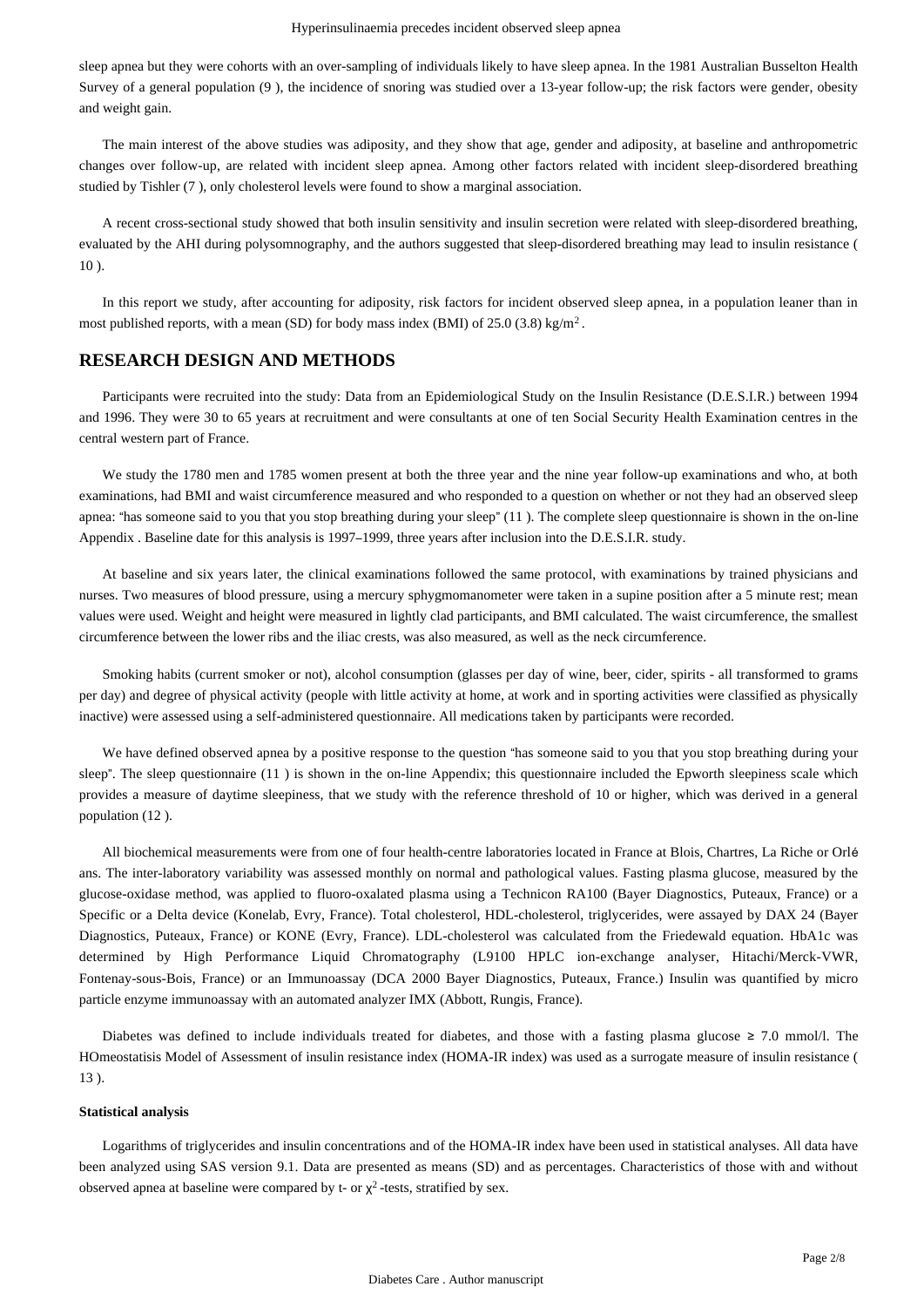sleep apnea but they were cohorts with an over-sampling of individuals likely to have sleep apnea. In the 1981 Australian Busselton Health Survey of a general population (9 ), the incidence of snoring was studied over a 13-year follow-up; the risk factors were gender, obesity and weight gain.

The main interest of the above studies was adiposity, and they show that age, gender and adiposity, at baseline and anthropometric changes over follow-up, are related with incident sleep apnea. Among other factors related with incident sleep-disordered breathing studied by Tishler (7 ), only cholesterol levels were found to show a marginal association.

A recent cross-sectional study showed that both insulin sensitivity and insulin secretion were related with sleep-disordered breathing, evaluated by the AHI during polysomnography, and the authors suggested that sleep-disordered breathing may lead to insulin resistance (  $10<sub>2</sub>$ .

In this report we study, after accounting for adiposity, risk factors for incident observed sleep apnea, in a population leaner than in most published reports, with a mean (SD) for body mass index (BMI) of  $25.0$  (3.8) kg/m<sup>2</sup>.

#### **RESEARCH DESIGN AND METHODS**

Participants were recruited into the study: Data from an Epidemiological Study on the Insulin Resistance (D.E.S.I.R.) between 1994 and 1996. They were 30 to 65 years at recruitment and were consultants at one of ten Social Security Health Examination centres in the central western part of France.

We study the 1780 men and 1785 women present at both the three year and the nine year follow-up examinations and who, at both examinations, had BMI and waist circumference measured and who responded to a question on whether or not they had an observed sleep apnea: "has someone said to you that you stop breathing during your sleep" (11 ). The complete sleep questionnaire is shown in the on-line Appendix . Baseline date for this analysis is 1997–1999, three years after inclusion into the D.E.S.I.R. study.

At baseline and six years later, the clinical examinations followed the same protocol, with examinations by trained physicians and nurses. Two measures of blood pressure, using a mercury sphygmomanometer were taken in a supine position after a 5 minute rest; mean values were used. Weight and height were measured in lightly clad participants, and BMI calculated. The waist circumference, the smallest circumference between the lower ribs and the iliac crests, was also measured, as well as the neck circumference.

Smoking habits (current smoker or not), alcohol consumption (glasses per day of wine, beer, cider, spirits - all transformed to grams per day) and degree of physical activity (people with little activity at home, at work and in sporting activities were classified as physically inactive) were assessed using a self-administered questionnaire. All medications taken by participants were recorded.

We have defined observed apnea by a positive response to the question "has someone said to you that you stop breathing during your sleep". The sleep questionnaire (11 ) is shown in the on-line Appendix; this questionnaire included the Epworth sleepiness scale which provides a measure of daytime sleepiness, that we study with the reference threshold of 10 or higher, which was derived in a general population (12 ).

All biochemical measurements were from one of four health-centre laboratories located in France at Blois, Chartres, La Riche or Orlé ans. The inter-laboratory variability was assessed monthly on normal and pathological values. Fasting plasma glucose, measured by the glucose-oxidase method, was applied to fluoro-oxalated plasma using a Technicon RA100 (Bayer Diagnostics, Puteaux, France) or a Specific or a Delta device (Konelab, Evry, France). Total cholesterol, HDL-cholesterol, triglycerides, were assayed by DAX 24 (Bayer Diagnostics, Puteaux, France) or KONE (Evry, France). LDL-cholesterol was calculated from the Friedewald equation. HbA1c was determined by High Performance Liquid Chromatography (L9100 HPLC ion-exchange analyser, Hitachi/Merck-VWR, Fontenay-sous-Bois, France) or an Immunoassay (DCA 2000 Bayer Diagnostics, Puteaux, France.) Insulin was quantified by micro particle enzyme immunoassay with an automated analyzer IMX (Abbott, Rungis, France).

Diabetes was defined to include individuals treated for diabetes, and those with a fasting plasma glucose  $\geq 7.0$  mmol/l. The HOmeostatisis Model of Assessment of insulin resistance index (HOMA-IR index) was used as a surrogate measure of insulin resistance ( 13 ).

#### **Statistical analysis**

Logarithms of triglycerides and insulin concentrations and of the HOMA-IR index have been used in statistical analyses. All data have been analyzed using SAS version 9.1. Data are presented as means (SD) and as percentages. Characteristics of those with and without observed apnea at baseline were compared by t- or  $\chi^2$ -tests, stratified by sex.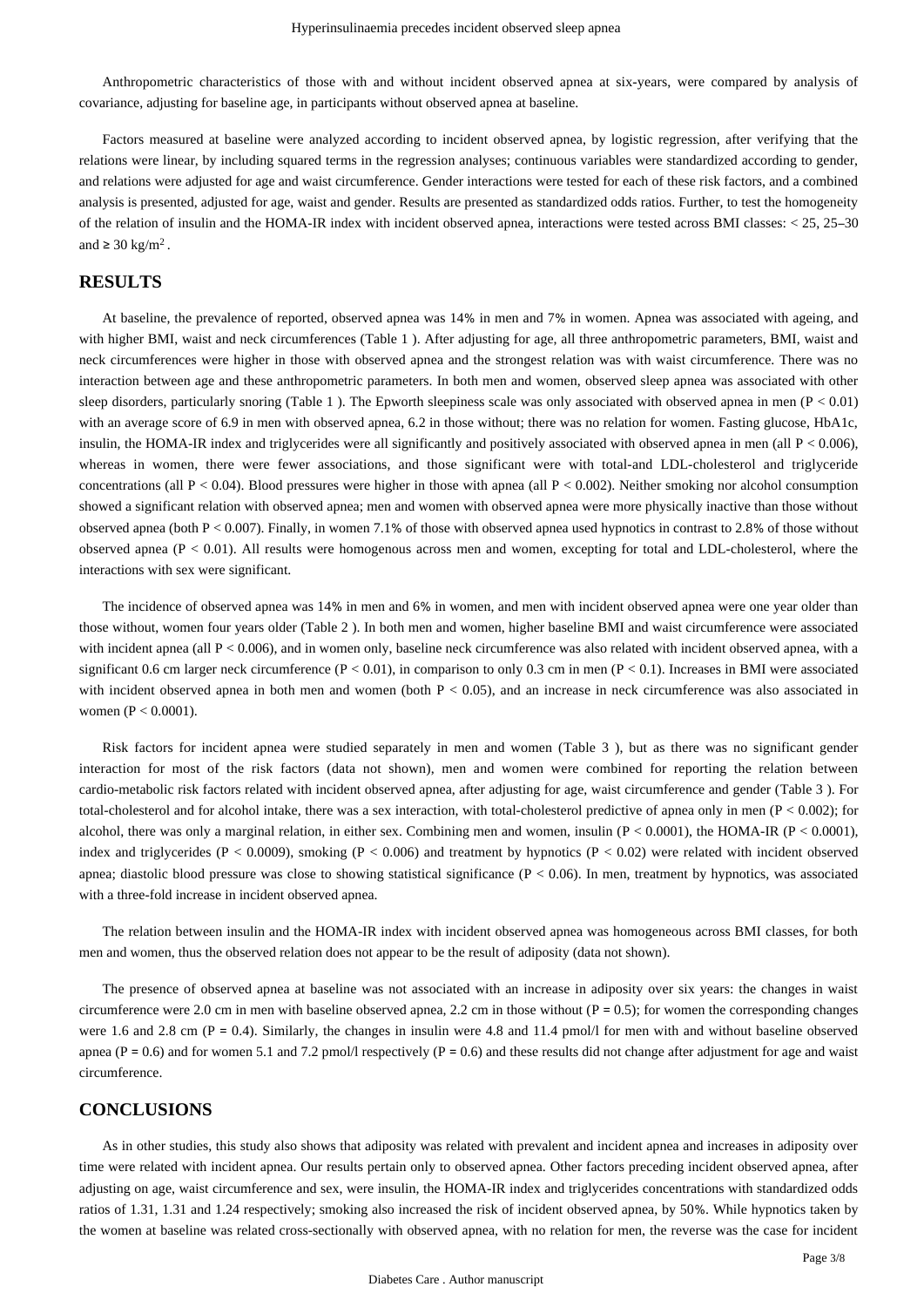Anthropometric characteristics of those with and without incident observed apnea at six-years, were compared by analysis of covariance, adjusting for baseline age, in participants without observed apnea at baseline.

Factors measured at baseline were analyzed according to incident observed apnea, by logistic regression, after verifying that the relations were linear, by including squared terms in the regression analyses; continuous variables were standardized according to gender, and relations were adjusted for age and waist circumference. Gender interactions were tested for each of these risk factors, and a combined analysis is presented, adjusted for age, waist and gender. Results are presented as standardized odds ratios. Further, to test the homogeneity of the relation of insulin and the HOMA-IR index with incident observed apnea, interactions were tested across BMI classes: < 25, 25–30 and  $\geq 30 \text{ kg/m}^2$ .

#### **RESULTS**

At baseline, the prevalence of reported, observed apnea was 14% in men and 7% in women. Apnea was associated with ageing, and with higher BMI, waist and neck circumferences (Table 1). After adjusting for age, all three anthropometric parameters, BMI, waist and neck circumferences were higher in those with observed apnea and the strongest relation was with waist circumference. There was no interaction between age and these anthropometric parameters. In both men and women, observed sleep apnea was associated with other sleep disorders, particularly snoring (Table 1). The Epworth sleepiness scale was only associated with observed apnea in men ( $P < 0.01$ ) with an average score of 6.9 in men with observed apnea, 6.2 in those without; there was no relation for women. Fasting glucose, HbA1c, insulin, the HOMA-IR index and triglycerides were all significantly and positively associated with observed apnea in men (all  $P < 0.006$ ), whereas in women, there were fewer associations, and those significant were with total-and LDL-cholesterol and triglyceride concentrations (all  $P < 0.04$ ). Blood pressures were higher in those with apnea (all  $P < 0.002$ ). Neither smoking nor alcohol consumption showed a significant relation with observed apnea; men and women with observed apnea were more physically inactive than those without observed apnea (both  $P < 0.007$ ). Finally, in women 7.1% of those with observed apnea used hypnotics in contrast to 2.8% of those without observed apnea (P < 0.01). All results were homogenous across men and women, excepting for total and LDL-cholesterol, where the interactions with sex were significant.

The incidence of observed apnea was 14% in men and 6% in women, and men with incident observed apnea were one year older than those without, women four years older (Table 2 ). In both men and women, higher baseline BMI and waist circumference were associated with incident apnea (all P < 0.006), and in women only, baseline neck circumference was also related with incident observed apnea, with a significant 0.6 cm larger neck circumference  $(P < 0.01)$ , in comparison to only 0.3 cm in men  $(P < 0.1)$ . Increases in BMI were associated with incident observed apnea in both men and women (both  $P < 0.05$ ), and an increase in neck circumference was also associated in women (P < 0.0001).

Risk factors for incident apnea were studied separately in men and women (Table 3 ), but as there was no significant gender interaction for most of the risk factors (data not shown), men and women were combined for reporting the relation between cardio-metabolic risk factors related with incident observed apnea, after adjusting for age, waist circumference and gender (Table 3 ). For total-cholesterol and for alcohol intake, there was a sex interaction, with total-cholesterol predictive of apnea only in men  $(P < 0.002)$ ; for alcohol, there was only a marginal relation, in either sex. Combining men and women, insulin  $(P < 0.0001)$ , the HOMA-IR  $(P < 0.0001)$ , index and triglycerides ( $P < 0.0009$ ), smoking ( $P < 0.006$ ) and treatment by hypnotics ( $P < 0.02$ ) were related with incident observed apnea; diastolic blood pressure was close to showing statistical significance  $(P < 0.06)$ . In men, treatment by hypnotics, was associated with a three-fold increase in incident observed apnea.

The relation between insulin and the HOMA-IR index with incident observed apnea was homogeneous across BMI classes, for both men and women, thus the observed relation does not appear to be the result of adiposity (data not shown).

The presence of observed apnea at baseline was not associated with an increase in adiposity over six years: the changes in waist circumference were 2.0 cm in men with baseline observed apnea, 2.2 cm in those without ( $P = 0.5$ ); for women the corresponding changes were 1.6 and 2.8 cm ( $P = 0.4$ ). Similarly, the changes in insulin were 4.8 and 11.4 pmol/l for men with and without baseline observed apnea ( $P = 0.6$ ) and for women 5.1 and 7.2 pmol/l respectively ( $P = 0.6$ ) and these results did not change after adjustment for age and waist circumference.

### **CONCLUSIONS**

As in other studies, this study also shows that adiposity was related with prevalent and incident apnea and increases in adiposity over time were related with incident apnea. Our results pertain only to observed apnea. Other factors preceding incident observed apnea, after adjusting on age, waist circumference and sex, were insulin, the HOMA-IR index and triglycerides concentrations with standardized odds ratios of 1.31, 1.31 and 1.24 respectively; smoking also increased the risk of incident observed apnea, by 50%. While hypnotics taken by the women at baseline was related cross-sectionally with observed apnea, with no relation for men, the reverse was the case for incident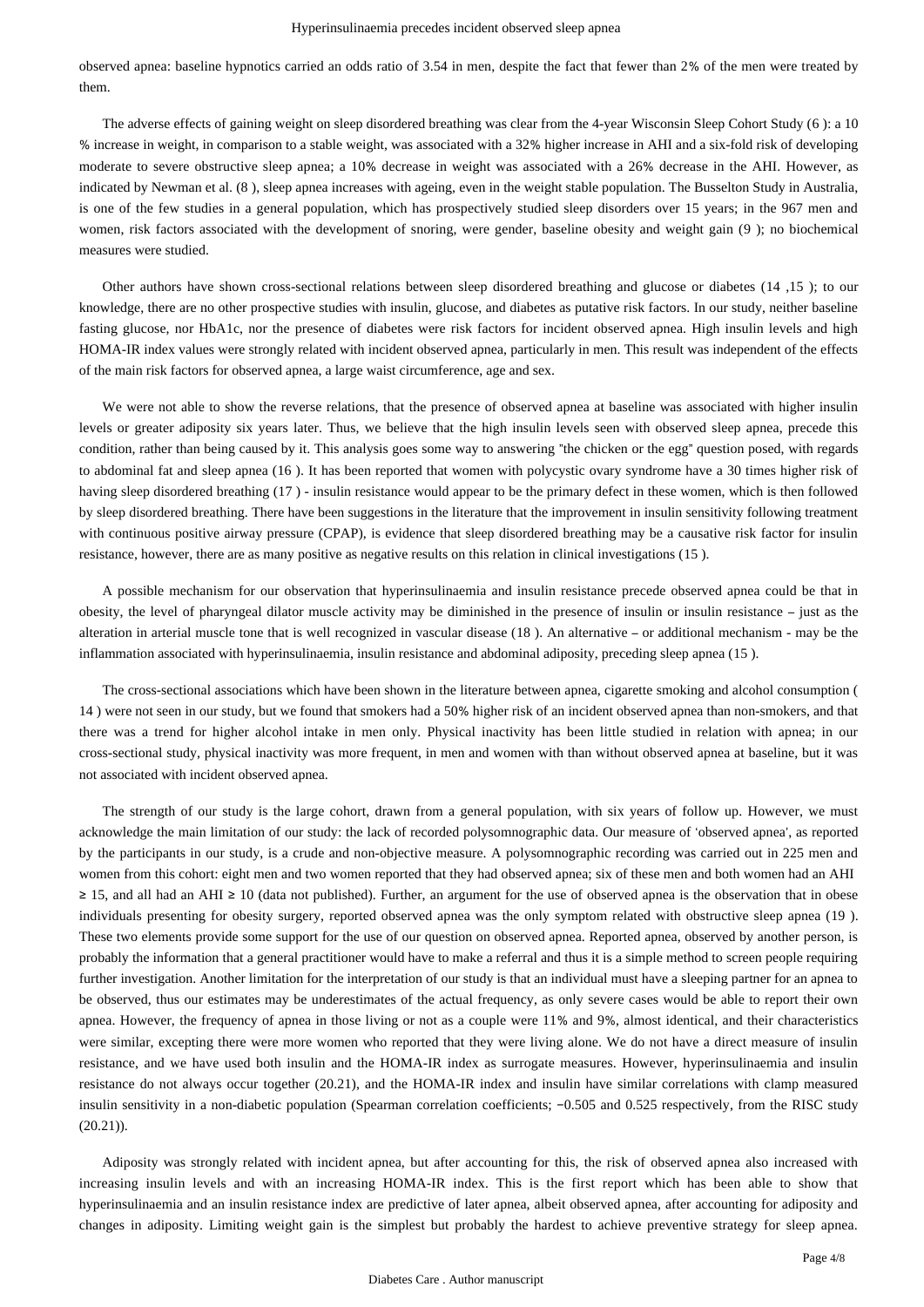#### Hyperinsulinaemia precedes incident observed sleep apnea

observed apnea: baseline hypnotics carried an odds ratio of 3.54 in men, despite the fact that fewer than 2% of the men were treated by them.

The adverse effects of gaining weight on sleep disordered breathing was clear from the 4-year Wisconsin Sleep Cohort Study (6 ): a 10 % increase in weight, in comparison to a stable weight, was associated with a 32% higher increase in AHI and a six-fold risk of developing moderate to severe obstructive sleep apnea; a 10% decrease in weight was associated with a 26% decrease in the AHI. However, as indicated by Newman et al. (8 ), sleep apnea increases with ageing, even in the weight stable population. The Busselton Study in Australia, is one of the few studies in a general population, which has prospectively studied sleep disorders over 15 years; in the 967 men and women, risk factors associated with the development of snoring, were gender, baseline obesity and weight gain (9 ); no biochemical measures were studied.

Other authors have shown cross-sectional relations between sleep disordered breathing and glucose or diabetes (14 ,15 ); to our knowledge, there are no other prospective studies with insulin, glucose, and diabetes as putative risk factors. In our study, neither baseline fasting glucose, nor HbA1c, nor the presence of diabetes were risk factors for incident observed apnea. High insulin levels and high HOMA-IR index values were strongly related with incident observed apnea, particularly in men. This result was independent of the effects of the main risk factors for observed apnea, a large waist circumference, age and sex.

We were not able to show the reverse relations, that the presence of observed apnea at baseline was associated with higher insulin levels or greater adiposity six years later. Thus, we believe that the high insulin levels seen with observed sleep apnea, precede this condition, rather than being caused by it. This analysis goes some way to answering "the chicken or the egg" question posed, with regards to abdominal fat and sleep apnea (16 ). It has been reported that women with polycystic ovary syndrome have a 30 times higher risk of having sleep disordered breathing (17 ) - insulin resistance would appear to be the primary defect in these women, which is then followed by sleep disordered breathing. There have been suggestions in the literature that the improvement in insulin sensitivity following treatment with continuous positive airway pressure (CPAP), is evidence that sleep disordered breathing may be a causative risk factor for insulin resistance, however, there are as many positive as negative results on this relation in clinical investigations (15 ).

A possible mechanism for our observation that hyperinsulinaemia and insulin resistance precede observed apnea could be that in obesity, the level of pharyngeal dilator muscle activity may be diminished in the presence of insulin or insulin resistance – just as the alteration in arterial muscle tone that is well recognized in vascular disease (18 ). An alternative – or additional mechanism - may be the inflammation associated with hyperinsulinaemia, insulin resistance and abdominal adiposity, preceding sleep apnea (15 ).

The cross-sectional associations which have been shown in the literature between apnea, cigarette smoking and alcohol consumption ( 14 ) were not seen in our study, but we found that smokers had a 50% higher risk of an incident observed apnea than non-smokers, and that there was a trend for higher alcohol intake in men only. Physical inactivity has been little studied in relation with apnea; in our cross-sectional study, physical inactivity was more frequent, in men and women with than without observed apnea at baseline, but it was not associated with incident observed apnea.

The strength of our study is the large cohort, drawn from a general population, with six years of follow up. However, we must acknowledge the main limitation of our study: the lack of recorded polysomnographic data. Our measure of 'observed apnea', as reported by the participants in our study, is a crude and non-objective measure. A polysomnographic recording was carried out in 225 men and women from this cohort: eight men and two women reported that they had observed apnea; six of these men and both women had an AHI ≥ 15, and all had an AHI ≥ 10 (data not published). Further, an argument for the use of observed apnea is the observation that in obese individuals presenting for obesity surgery, reported observed apnea was the only symptom related with obstructive sleep apnea (19 ). These two elements provide some support for the use of our question on observed apnea. Reported apnea, observed by another person, is probably the information that a general practitioner would have to make a referral and thus it is a simple method to screen people requiring further investigation. Another limitation for the interpretation of our study is that an individual must have a sleeping partner for an apnea to be observed, thus our estimates may be underestimates of the actual frequency, as only severe cases would be able to report their own apnea. However, the frequency of apnea in those living or not as a couple were 11% and 9%, almost identical, and their characteristics were similar, excepting there were more women who reported that they were living alone. We do not have a direct measure of insulin resistance, and we have used both insulin and the HOMA-IR index as surrogate measures. However, hyperinsulinaemia and insulin resistance do not always occur together (20.21), and the HOMA-IR index and insulin have similar correlations with clamp measured insulin sensitivity in a non-diabetic population (Spearman correlation coefficients; −0.505 and 0.525 respectively, from the RISC study  $(20.21)$ ).

Adiposity was strongly related with incident apnea, but after accounting for this, the risk of observed apnea also increased with increasing insulin levels and with an increasing HOMA-IR index. This is the first report which has been able to show that hyperinsulinaemia and an insulin resistance index are predictive of later apnea, albeit observed apnea, after accounting for adiposity and changes in adiposity. Limiting weight gain is the simplest but probably the hardest to achieve preventive strategy for sleep apnea.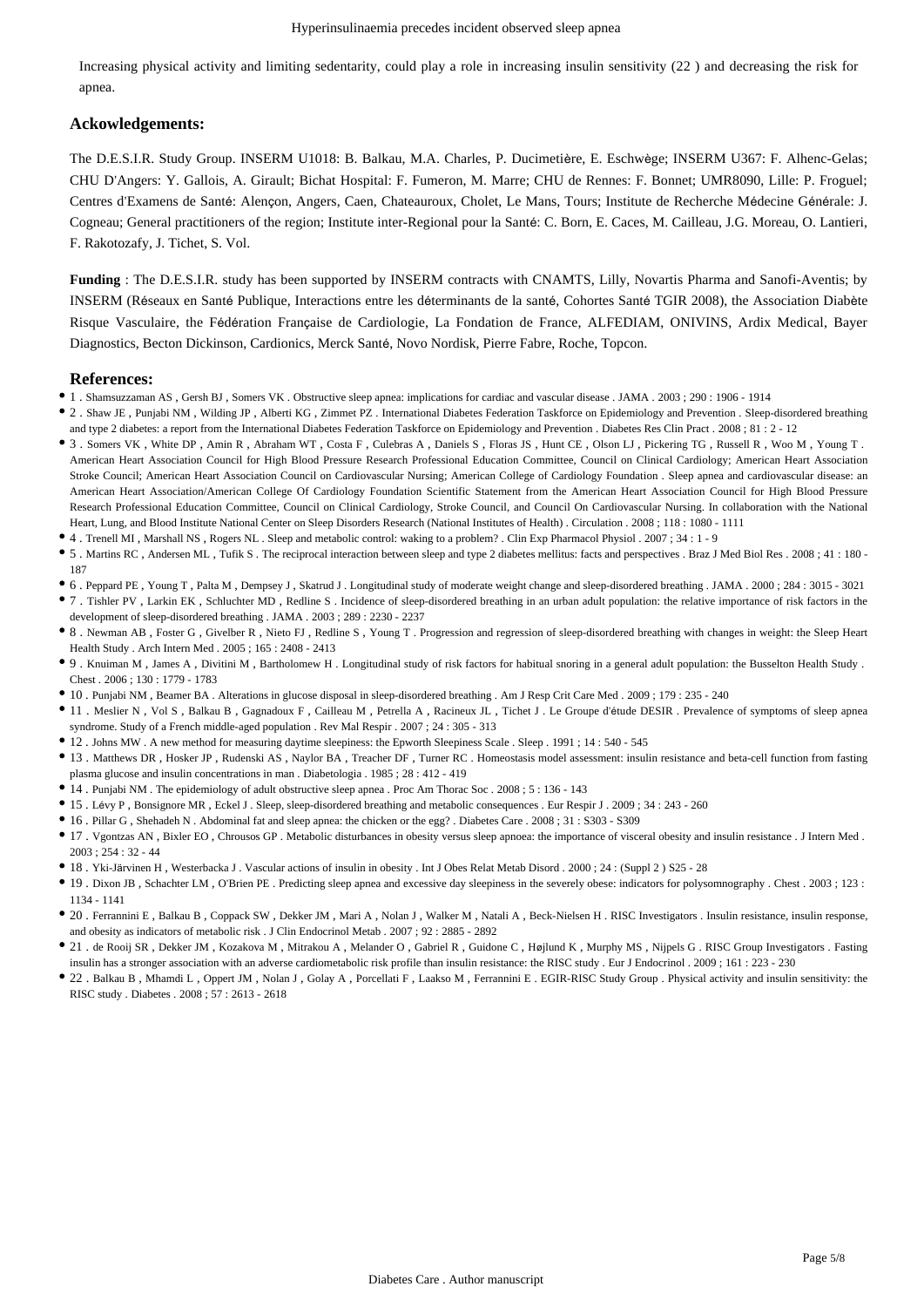Increasing physical activity and limiting sedentarity, could play a role in increasing insulin sensitivity (22 ) and decreasing the risk for apnea.

#### **Ackowledgements:**

The D.E.S.I.R. Study Group. INSERM U1018: B. Balkau, M.A. Charles, P. Ducimetière, E. Eschwège; INSERM U367: F. Alhenc-Gelas; CHU D'Angers: Y. Gallois, A. Girault; Bichat Hospital: F. Fumeron, M. Marre; CHU de Rennes: F. Bonnet; UMR8090, Lille: P. Froguel; Centres d'Examens de Santé: Alençon, Angers, Caen, Chateauroux, Cholet, Le Mans, Tours; Institute de Recherche Médecine Générale: J. Cogneau; General practitioners of the region; Institute inter-Regional pour la Santé: C. Born, E. Caces, M. Cailleau, J.G. Moreau, O. Lantieri, F. Rakotozafy, J. Tichet, S. Vol.

**Funding** : The D.E.S.I.R. study has been supported by INSERM contracts with CNAMTS, Lilly, Novartis Pharma and Sanofi-Aventis; by INSERM (Réseaux en Santé Publique, Interactions entre les déterminants de la santé, Cohortes Santé TGIR 2008), the Association Diabète Risque Vasculaire, the Fédération Française de Cardiologie, La Fondation de France, ALFEDIAM, ONIVINS, Ardix Medical, Bayer Diagnostics, Becton Dickinson, Cardionics, Merck Santé, Novo Nordisk, Pierre Fabre, Roche, Topcon.

#### **References:**

- 1 . Shamsuzzaman AS , Gersh BJ , Somers VK . Obstructive sleep apnea: implications for cardiac and vascular disease . JAMA . 2003 ; 290 : 1906 1914
- 2 . Shaw JE , Punjabi NM , Wilding JP , Alberti KG , Zimmet PZ . International Diabetes Federation Taskforce on Epidemiology and Prevention . Sleep-disordered breathing and type 2 diabetes: a report from the International Diabetes Federation Taskforce on Epidemiology and Prevention . Diabetes Res Clin Pract . 2008 ; 81 : 2 - 12
- 3 . Somers VK , White DP , Amin R , Abraham WT , Costa F , Culebras A , Daniels S , Floras JS , Hunt CE , Olson LJ , Pickering TG , Russell R , Woo M , Young T . American Heart Association Council for High Blood Pressure Research Professional Education Committee, Council on Clinical Cardiology; American Heart Association Stroke Council; American Heart Association Council on Cardiovascular Nursing; American College of Cardiology Foundation . Sleep apnea and cardiovascular disease: an American Heart Association/American College Of Cardiology Foundation Scientific Statement from the American Heart Association Council for High Blood Pressure Research Professional Education Committee, Council on Clinical Cardiology, Stroke Council, and Council On Cardiovascular Nursing. In collaboration with the National Heart, Lung, and Blood Institute National Center on Sleep Disorders Research (National Institutes of Health) . Circulation . 2008 ; 118 : 1080 - 1111
- 4 . Trenell MI , Marshall NS , Rogers NL . Sleep and metabolic control: waking to a problem? . Clin Exp Pharmacol Physiol . 2007 ; 34 : 1 9
- 5 . Martins RC , Andersen ML , Tufik S . The reciprocal interaction between sleep and type 2 diabetes mellitus: facts and perspectives . Braz J Med Biol Res . 2008 ; 41 : 180 187
- 6 . Peppard PE , Young T , Palta M , Dempsey J , Skatrud J . Longitudinal study of moderate weight change and sleep-disordered breathing . JAMA . 2000 ; 284 : 3015 3021
- 7 . Tishler PV , Larkin EK , Schluchter MD , Redline S . Incidence of sleep-disordered breathing in an urban adult population: the relative importance of risk factors in the development of sleep-disordered breathing . JAMA . 2003 ; 289 : 2230 - 2237
- 8 . Newman AB , Foster G , Givelber R , Nieto FJ , Redline S , Young T . Progression and regression of sleep-disordered breathing with changes in weight: the Sleep Heart Health Study . Arch Intern Med . 2005 ; 165 : 2408 - 2413
- 9 . Knuiman M , James A , Divitini M , Bartholomew H . Longitudinal study of risk factors for habitual snoring in a general adult population: the Busselton Health Study . Chest . 2006 ; 130 : 1779 - 1783
- 10 . Punjabi NM , Beamer BA . Alterations in glucose disposal in sleep-disordered breathing . Am J Resp Crit Care Med . 2009 ; 179 : 235 240
- 11 . Meslier N , Vol S , Balkau B , Gagnadoux F , Cailleau M , Petrella A , Racineux JL , Tichet J . Le Groupe d'étude DESIR . Prevalence of symptoms of sleep apnea syndrome. Study of a French middle-aged population . Rev Mal Respir . 2007 ; 24 : 305 - 313
- 12 . Johns MW . A new method for measuring daytime sleepiness: the Epworth Sleepiness Scale . Sleep . 1991 ; 14 : 540 545
- 13 . Matthews DR , Hosker JP , Rudenski AS , Naylor BA , Treacher DF , Turner RC . Homeostasis model assessment: insulin resistance and beta-cell function from fasting plasma glucose and insulin concentrations in man . Diabetologia . 1985 ; 28 : 412 - 419
- 14 . Punjabi NM . The epidemiology of adult obstructive sleep apnea . Proc Am Thorac Soc . 2008 ; 5 : 136 143
- 15 . Lévy P , Bonsignore MR , Eckel J . Sleep, sleep-disordered breathing and metabolic consequences . Eur Respir J . 2009 ; 34 : 243 260
- 16 . Pillar G , Shehadeh N . Abdominal fat and sleep apnea: the chicken or the egg? . Diabetes Care . 2008 ; 31 : S303 S309
- 17 . Vgontzas AN , Bixler EO , Chrousos GP . Metabolic disturbances in obesity versus sleep apnoea: the importance of visceral obesity and insulin resistance . J Intern Med . 2003 ; 254 : 32 - 44
- 18 . Yki-Järvinen H , Westerbacka J . Vascular actions of insulin in obesity . Int J Obes Relat Metab Disord . 2000 ; 24 : (Suppl 2 ) S25 28
- 19 . Dixon JB , Schachter LM , O'Brien PE . Predicting sleep apnea and excessive day sleepiness in the severely obese: indicators for polysomnography . Chest . 2003 ; 123 : 1134 - 1141
- 20 . Ferrannini E , Balkau B , Coppack SW , Dekker JM , Mari A , Nolan J , Walker M , Natali A , Beck-Nielsen H . RISC Investigators . Insulin resistance, insulin response, and obesity as indicators of metabolic risk . J Clin Endocrinol Metab . 2007 ; 92 : 2885 - 2892
- 21 . de Rooij SR , Dekker JM , Kozakova M , Mitrakou A , Melander O , Gabriel R , Guidone C , Højlund K , Murphy MS , Nijpels G . RISC Group Investigators . Fasting insulin has a stronger association with an adverse cardiometabolic risk profile than insulin resistance: the RISC study . Eur J Endocrinol . 2009 ; 161 : 223 - 230
- 22 . Balkau B , Mhamdi L , Oppert JM , Nolan J , Golay A , Porcellati F , Laakso M , Ferrannini E . EGIR-RISC Study Group . Physical activity and insulin sensitivity: the RISC study . Diabetes . 2008 ; 57 : 2613 - 2618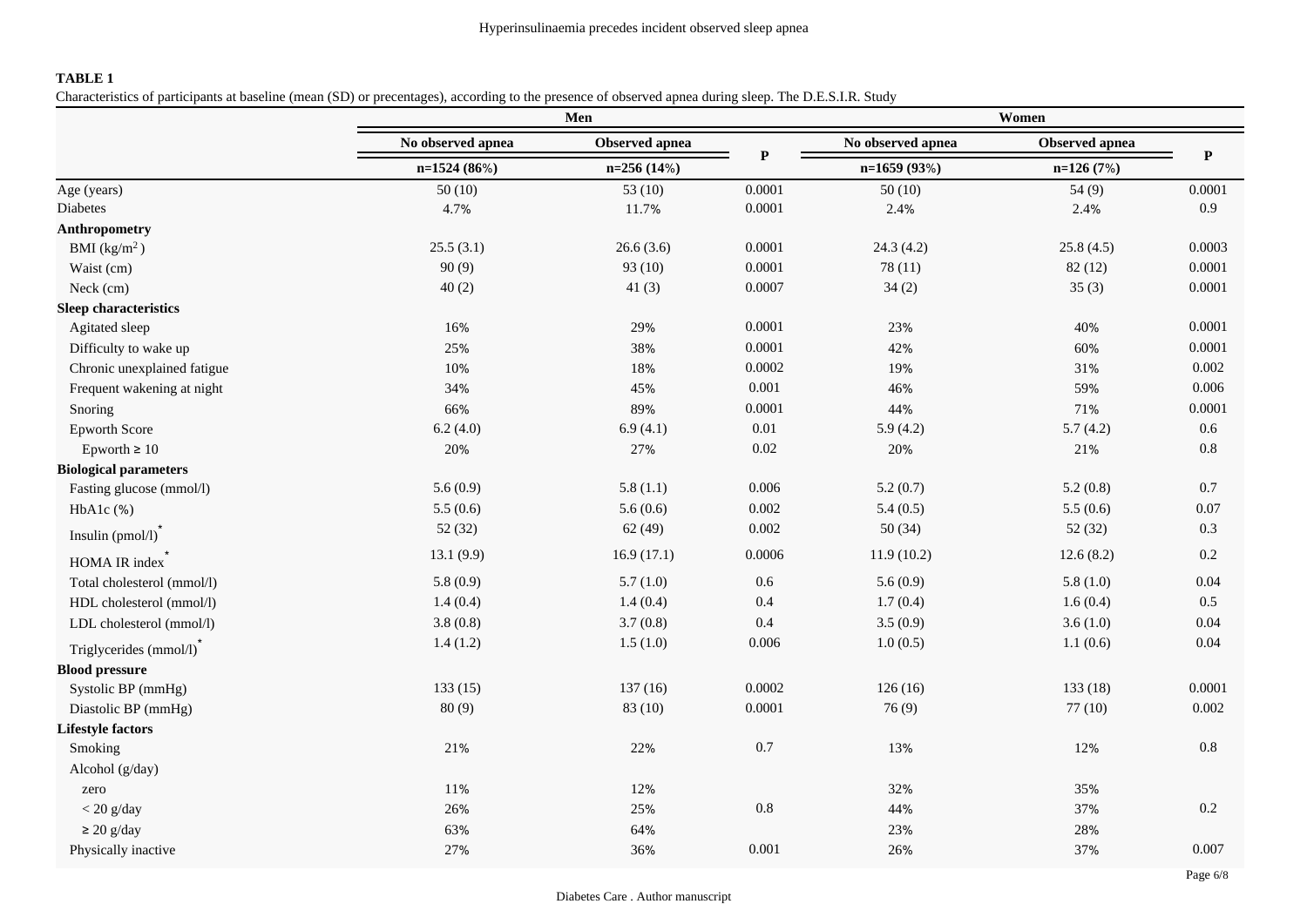### **TABLE 1**

Characteristics of participants at baseline (mean (SD) or precentages), according to the presence of observed apnea during sleep. The D.E.S.I.R. Study

|                              | Men               |                |              | Women             |                |             |  |
|------------------------------|-------------------|----------------|--------------|-------------------|----------------|-------------|--|
|                              | No observed apnea | Observed apnea | $\mathbf{P}$ | No observed apnea | Observed apnea | $\mathbf P$ |  |
|                              | n=1524 (86%)      | $n=256(14%)$   |              | $n=1659(93%)$     | $n=126(7%)$    |             |  |
| Age (years)                  | 50(10)            | 53 $(10)$      | 0.0001       | 50(10)            | 54(9)          | 0.0001      |  |
| Diabetes                     | 4.7%              | 11.7%          | 0.0001       | 2.4%              | 2.4%           | 0.9         |  |
| <b>Anthropometry</b>         |                   |                |              |                   |                |             |  |
| BMI $(kg/m2)$                | 25.5(3.1)         | 26.6(3.6)      | 0.0001       | 24.3(4.2)         | 25.8(4.5)      | 0.0003      |  |
| Waist (cm)                   | 90(9)             | 93 (10)        | 0.0001       | 78(11)            | 82(12)         | 0.0001      |  |
| Neck (cm)                    | 40(2)             | 41 $(3)$       | 0.0007       | 34(2)             | 35(3)          | 0.0001      |  |
| <b>Sleep characteristics</b> |                   |                |              |                   |                |             |  |
| Agitated sleep               | 16%               | 29%            | 0.0001       | 23%               | 40%            | 0.0001      |  |
| Difficulty to wake up        | 25%               | 38%            | 0.0001       | 42%               | 60%            | 0.0001      |  |
| Chronic unexplained fatigue  | 10%               | 18%            | 0.0002       | 19%               | 31%            | 0.002       |  |
| Frequent wakening at night   | 34%               | 45%            | 0.001        | 46%               | 59%            | 0.006       |  |
| Snoring                      | 66%               | 89%            | 0.0001       | 44%               | 71%            | 0.0001      |  |
| <b>Epworth Score</b>         | 6.2(4.0)          | 6.9(4.1)       | $0.01\,$     | 5.9(4.2)          | 5.7(4.2)       | 0.6         |  |
| Epworth $\geq 10$            | 20%               | 27%            | 0.02         | 20%               | 21%            | $0.8\,$     |  |
| <b>Biological parameters</b> |                   |                |              |                   |                |             |  |
| Fasting glucose (mmol/l)     | 5.6(0.9)          | 5.8(1.1)       | 0.006        | 5.2(0.7)          | 5.2(0.8)       | 0.7         |  |
| $HbA1c$ $%$                  | 5.5(0.6)          | 5.6(0.6)       | 0.002        | 5.4(0.5)          | 5.5(0.6)       | 0.07        |  |
| Insulin $(pmol/l)$           | 52 (32)           | 62(49)         | 0.002        | 50(34)            | 52(32)         | 0.3         |  |
| HOMA IR index                | 13.1(9.9)         | 16.9(17.1)     | 0.0006       | 11.9(10.2)        | 12.6(8.2)      | 0.2         |  |
| Total cholesterol (mmol/l)   | 5.8(0.9)          | 5.7(1.0)       | 0.6          | 5.6(0.9)          | 5.8(1.0)       | 0.04        |  |
| HDL cholesterol (mmol/l)     | 1.4(0.4)          | 1.4(0.4)       | 0.4          | 1.7(0.4)          | 1.6(0.4)       | 0.5         |  |
| LDL cholesterol (mmol/l)     | 3.8(0.8)          | 3.7(0.8)       | 0.4          | 3.5(0.9)          | 3.6(1.0)       | 0.04        |  |
| Triglycerides (mmol/l)       | 1.4(1.2)          | 1.5(1.0)       | 0.006        | 1.0(0.5)          | 1.1(0.6)       | 0.04        |  |
| <b>Blood pressure</b>        |                   |                |              |                   |                |             |  |
| Systolic BP (mmHg)           | 133(15)           | 137(16)        | 0.0002       | 126(16)           | 133(18)        | 0.0001      |  |
| Diastolic BP (mmHg)          | 80(9)             | 83 (10)        | 0.0001       | 76(9)             | 77(10)         | 0.002       |  |
| <b>Lifestyle factors</b>     |                   |                |              |                   |                |             |  |
| Smoking                      | 21%               | 22%            | 0.7          | 13%               | 12%            | 0.8         |  |
| Alcohol (g/day)              |                   |                |              |                   |                |             |  |
| zero                         | 11%               | 12%            |              | 32%               | 35%            |             |  |
| $<$ 20 g/day                 | 26%               | 25%            | $0.8\,$      | 44%               | 37%            | 0.2         |  |
| $\geq$ 20 g/day              | 63%               | 64%            |              | 23%               | 28%            |             |  |
| Physically inactive          | 27%               | 36%            | 0.001        | 26%               | 37%            | 0.007       |  |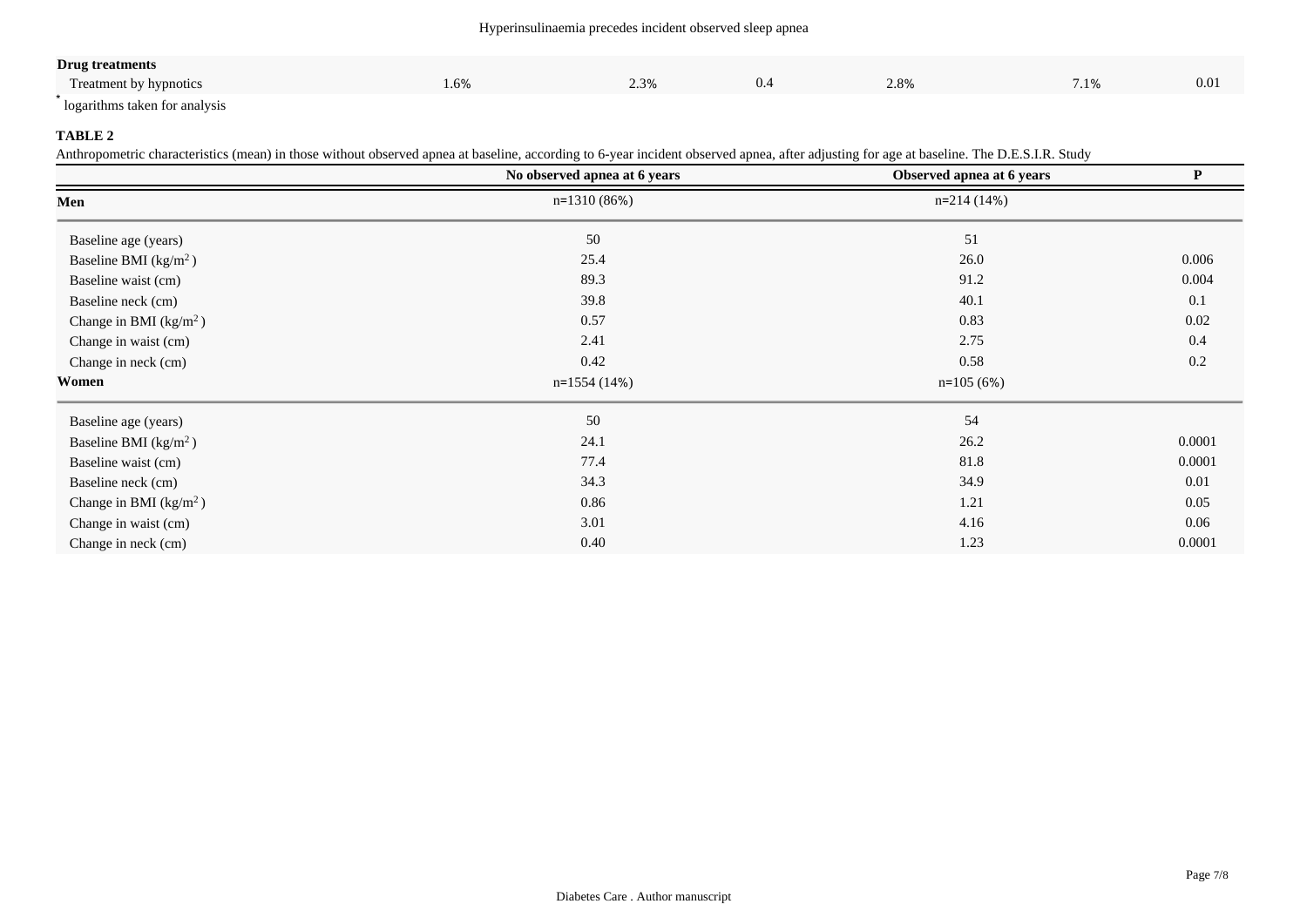#### Hyperinsulinaemia precedes incident observed sleep apnea

| <b>Drug treatments</b>        |      |      |     |      |               |      |
|-------------------------------|------|------|-----|------|---------------|------|
| Treatment by hypnotics        | 1.6% | 2.3% | 0.4 | 2.8% | 710/<br>1.170 | 0.01 |
| logarithms taken for analysis |      |      |     |      |               |      |

### **TABLE 2**

Anthropometric characteristics (mean) in those without observed apnea at baseline, according to 6-year incident observed apnea, after adjusting for age at baseline. The D.E.S.I.R. Study

|                                  | No observed apnea at 6 years | Observed apnea at 6 years | ${\bf P}$ |  |
|----------------------------------|------------------------------|---------------------------|-----------|--|
| Men                              | $n=1310(86%)$                | $n=214(14%)$              |           |  |
| Baseline age (years)             | 50                           | 51                        |           |  |
| Baseline BMI ( $\text{kg/m}^2$ ) | 25.4                         | 26.0                      | 0.006     |  |
| Baseline waist (cm)              | 89.3                         | 91.2                      | 0.004     |  |
| Baseline neck (cm)               | 39.8                         | 40.1                      | 0.1       |  |
| Change in BMI $(kg/m2)$          | 0.57                         | 0.83                      | $0.02\,$  |  |
| Change in waist (cm)             | 2.41                         | 2.75                      | 0.4       |  |
| Change in neck (cm)              | 0.42                         | 0.58                      | 0.2       |  |
| Women                            | $n=1554(14%)$                | $n=105(6%)$               |           |  |
| Baseline age (years)             | 50                           | 54                        |           |  |
| Baseline BMI $(kg/m2)$           | 24.1                         | 26.2                      | 0.0001    |  |
| Baseline waist (cm)              | 77.4                         | 81.8                      | 0.0001    |  |
| Baseline neck (cm)               | 34.3                         | 34.9                      | 0.01      |  |
| Change in BMI $(kg/m2)$          | 0.86                         | 1.21                      | 0.05      |  |
| Change in waist (cm)             | 3.01                         | 4.16                      | 0.06      |  |
| Change in neck (cm)              | 0.40                         | 1.23                      | 0.0001    |  |